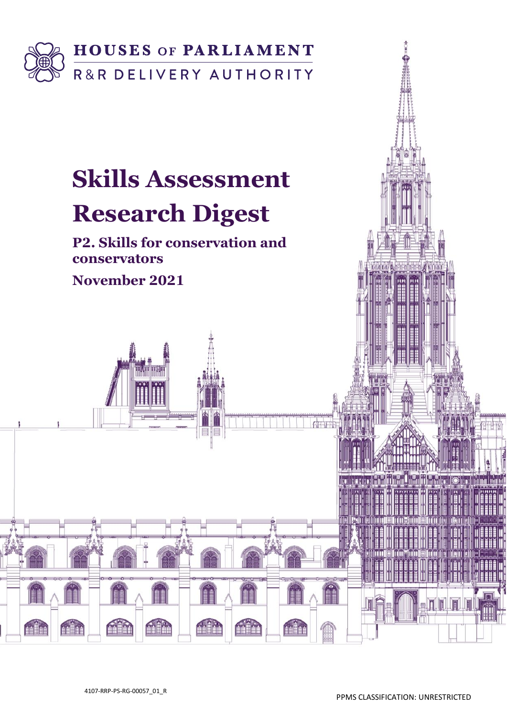

# **Skills Assessment**

# **Research Digest**

**P2. Skills for conservation and conservators**

**November 2021**

 $\frac{1}{2}$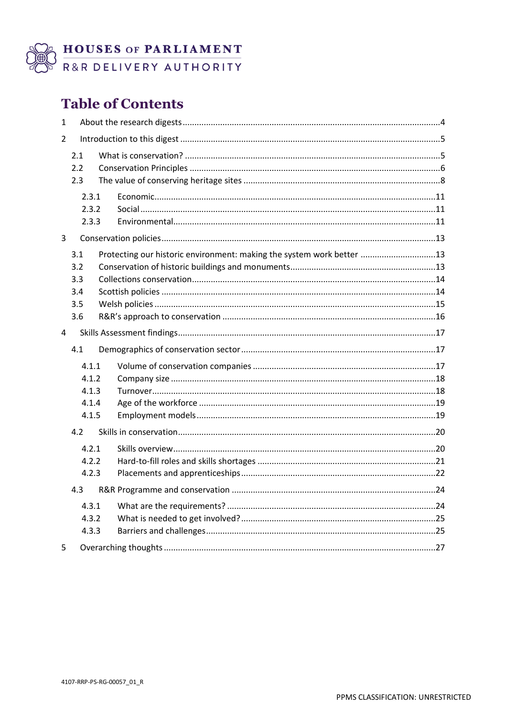

B HOUSES OF PARLIAMENT

# **Table of Contents**

| $\mathbf{1}$   |       |  |                                                                       |  |
|----------------|-------|--|-----------------------------------------------------------------------|--|
| 2              |       |  |                                                                       |  |
|                | 2.1   |  |                                                                       |  |
|                | 2.2   |  |                                                                       |  |
|                | 2.3   |  |                                                                       |  |
|                | 2.3.1 |  |                                                                       |  |
|                | 2.3.2 |  |                                                                       |  |
|                | 2.3.3 |  |                                                                       |  |
| $\overline{3}$ |       |  |                                                                       |  |
|                | 3.1   |  | Protecting our historic environment: making the system work better 13 |  |
|                | 3.2   |  |                                                                       |  |
|                | 3.3   |  |                                                                       |  |
|                | 3.4   |  |                                                                       |  |
|                | 3.5   |  |                                                                       |  |
|                | 3.6   |  |                                                                       |  |
| $\overline{4}$ |       |  |                                                                       |  |
|                | 4.1   |  |                                                                       |  |
|                | 4.1.1 |  |                                                                       |  |
|                | 4.1.2 |  |                                                                       |  |
|                | 4.1.3 |  |                                                                       |  |
|                | 4.1.4 |  |                                                                       |  |
|                | 4.1.5 |  |                                                                       |  |
|                | 4.2   |  |                                                                       |  |
|                | 4.2.1 |  |                                                                       |  |
|                | 4.2.2 |  |                                                                       |  |
|                | 4.2.3 |  |                                                                       |  |
|                | 4.3   |  |                                                                       |  |
|                | 4.3.1 |  |                                                                       |  |
|                | 4.3.2 |  |                                                                       |  |
|                | 4.3.3 |  |                                                                       |  |
| 5              |       |  |                                                                       |  |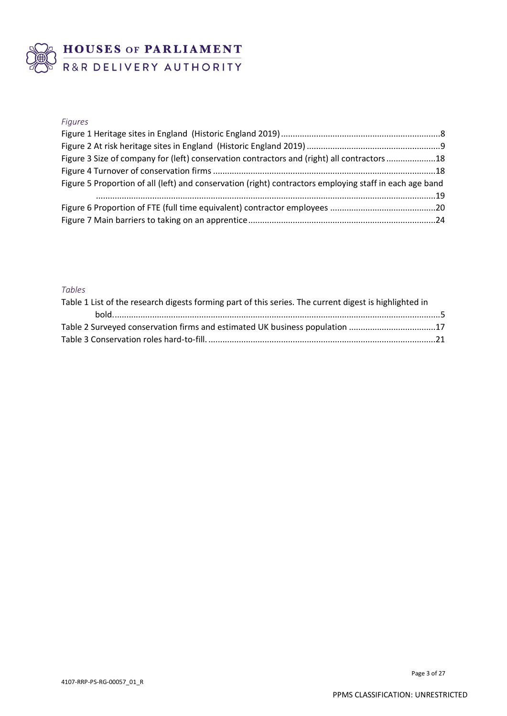

# BUSES OF PARLIAMENT

#### *Figures*

| Figure 3 Size of company for (left) conservation contractors and (right) all contractors 18             |  |  |  |  |  |
|---------------------------------------------------------------------------------------------------------|--|--|--|--|--|
|                                                                                                         |  |  |  |  |  |
| Figure 5 Proportion of all (left) and conservation (right) contractors employing staff in each age band |  |  |  |  |  |
|                                                                                                         |  |  |  |  |  |
|                                                                                                         |  |  |  |  |  |
|                                                                                                         |  |  |  |  |  |

#### *Tables*

| Table 1 List of the research digests forming part of this series. The current digest is highlighted in |  |  |  |  |
|--------------------------------------------------------------------------------------------------------|--|--|--|--|
|                                                                                                        |  |  |  |  |
| Table 2 Surveyed conservation firms and estimated UK business population 17                            |  |  |  |  |
|                                                                                                        |  |  |  |  |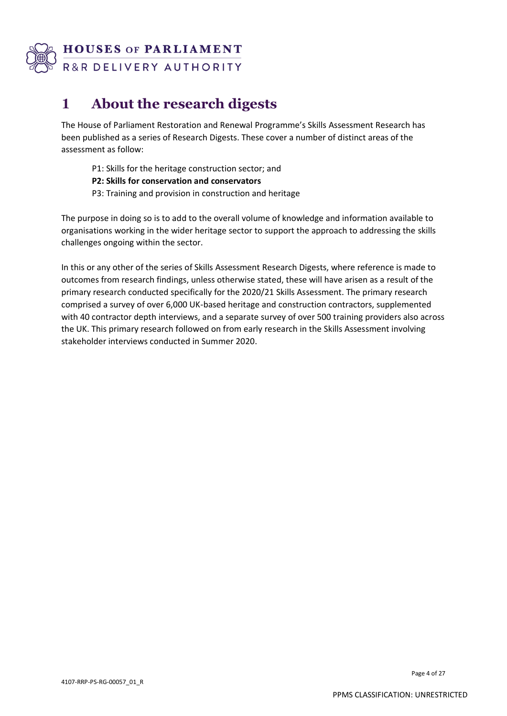

# **1 About the research digests**

The House of Parliament Restoration and Renewal Programme's Skills Assessment Research has been published as a series of Research Digests. These cover a number of distinct areas of the assessment as follow:

- P1: Skills for the heritage construction sector; and
- **P2: Skills for conservation and conservators**
- P3: Training and provision in construction and heritage

The purpose in doing so is to add to the overall volume of knowledge and information available to organisations working in the wider heritage sector to support the approach to addressing the skills challenges ongoing within the sector.

In this or any other of the series of Skills Assessment Research Digests, where reference is made to outcomes from research findings, unless otherwise stated, these will have arisen as a result of the primary research conducted specifically for the 2020/21 Skills Assessment. The primary research comprised a survey of over 6,000 UK-based heritage and construction contractors, supplemented with 40 contractor depth interviews, and a separate survey of over 500 training providers also across the UK. This primary research followed on from early research in the Skills Assessment involving stakeholder interviews conducted in Summer 2020.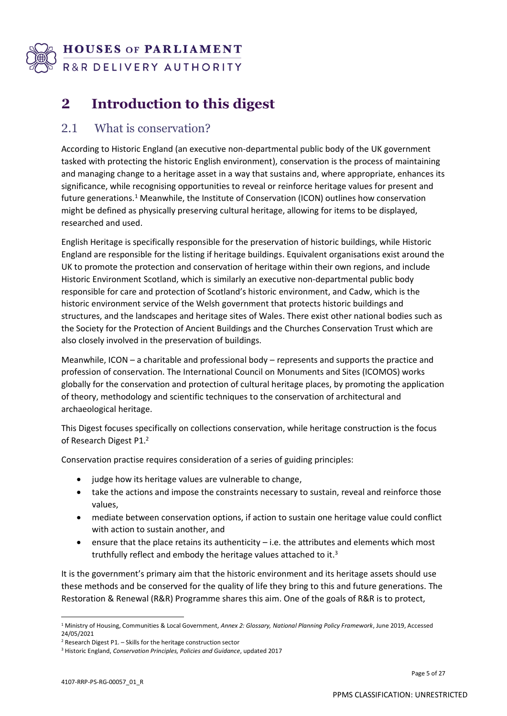

# **2 Introduction to this digest**

## 2.1 What is conservation?

According to Historic England (an executive non-departmental public body of the UK government tasked with protecting the historic English environment), conservation is the process of maintaining and managing change to a heritage asset in a way that sustains and, where appropriate, enhances its significance, while recognising opportunities to reveal or reinforce heritage values for present and future generations.<sup>1</sup> Meanwhile, the Institute of Conservation (ICON) outlines how conservation might be defined as physically preserving cultural heritage, allowing for items to be displayed, researched and used.

English Heritage is specifically responsible for the preservation of historic buildings, while Historic England are responsible for the listing if heritage buildings. Equivalent organisations exist around the UK to promote the protection and conservation of heritage within their own regions, and include Historic Environment Scotland, which is similarly an executive non-departmental public body responsible for care and protection of Scotland's historic environment, and Cadw, which is the historic environment service of the Welsh government that protects historic buildings and structures, and the landscapes and heritage sites of Wales. There exist other national bodies such as the Society for the Protection of Ancient Buildings and the Churches Conservation Trust which are also closely involved in the preservation of buildings.

Meanwhile, ICON – a charitable and professional body – represents and supports the practice and profession of conservation. The International Council on Monuments and Sites (ICOMOS) works globally for the conservation and protection of cultural heritage places, by promoting the application of theory, methodology and scientific techniques to the conservation of architectural and archaeological heritage.

This Digest focuses specifically on collections conservation, while heritage construction is the focus of Research Digest P1.<sup>2</sup>

Conservation practise requires consideration of a series of guiding principles:

- judge how its heritage values are vulnerable to change,
- take the actions and impose the constraints necessary to sustain, reveal and reinforce those values,
- mediate between conservation options, if action to sustain one heritage value could conflict with action to sustain another, and
- ensure that the place retains its authenticity i.e. the attributes and elements which most truthfully reflect and embody the heritage values attached to it.<sup>3</sup>

It is the government's primary aim that the historic environment and its heritage assets should use these methods and be conserved for the quality of life they bring to this and future generations. The Restoration & Renewal (R&R) Programme shares this aim. One of the goals of R&R is to protect,

<sup>1</sup> Ministry of Housing, Communities & Local Government, *Annex 2: Glossary, National Planning Policy Framework*, June 2019, Accessed 24/05/2021

 $2$  Research Digest P1. – Skills for the heritage construction sector

<sup>3</sup> Historic England, *Conservation Principles, Policies and Guidance*, updated 2017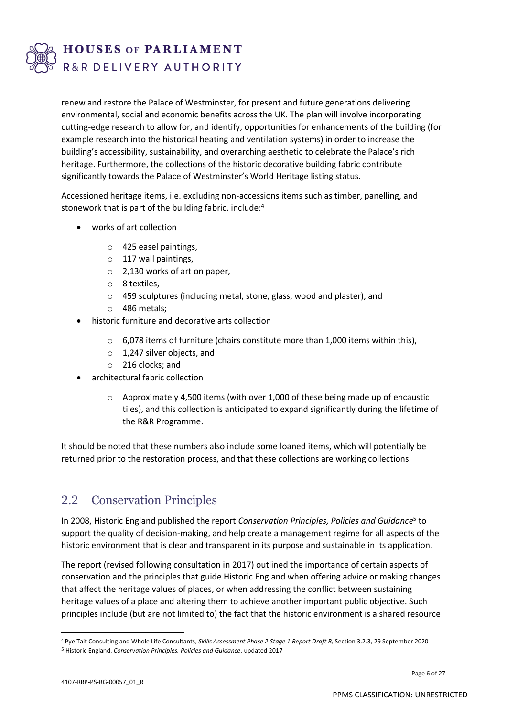

**HOUSES OF PARLIAMENT** 

R&R DELIVERY AUTHORITY

renew and restore the Palace of Westminster, for present and future generations delivering environmental, social and economic benefits across the UK. The plan will involve incorporating cutting-edge research to allow for, and identify, opportunities for enhancements of the building (for example research into the historical heating and ventilation systems) in order to increase the building's accessibility, sustainability, and overarching aesthetic to celebrate the Palace's rich heritage. Furthermore, the collections of the historic decorative building fabric contribute significantly towards the Palace of Westminster's World Heritage listing status.

Accessioned heritage items, i.e. excluding non-accessions items such as timber, panelling, and stonework that is part of the building fabric, include: 4

- works of art collection
	- o 425 easel paintings,
	- o 117 wall paintings,
	- o 2,130 works of art on paper,
	- o 8 textiles,
	- o 459 sculptures (including metal, stone, glass, wood and plaster), and
	- o 486 metals;
- historic furniture and decorative arts collection
	- $\circ$  6,078 items of furniture (chairs constitute more than 1,000 items within this),
	- o 1,247 silver objects, and
	- o 216 clocks; and
- architectural fabric collection
	- $\circ$  Approximately 4,500 items (with over 1,000 of these being made up of encaustic tiles), and this collection is anticipated to expand significantly during the lifetime of the R&R Programme.

It should be noted that these numbers also include some loaned items, which will potentially be returned prior to the restoration process, and that these collections are working collections.

## 2.2 Conservation Principles

In 2008, Historic England published the report Conservation Principles, Policies and Guidance<sup>5</sup> to support the quality of decision-making, and help create a management regime for all aspects of the historic environment that is clear and transparent in its purpose and sustainable in its application.

The report (revised following consultation in 2017) outlined the importance of certain aspects of conservation and the principles that guide Historic England when offering advice or making changes that affect the heritage values of places, or when addressing the conflict between sustaining heritage values of a place and altering them to achieve another important public objective. Such principles include (but are not limited to) the fact that the historic environment is a shared resource

<sup>4</sup> Pye Tait Consulting and Whole Life Consultants, *Skills Assessment Phase 2 Stage 1 Report Draft B,* Section 3.2.3, 29 September 2020 <sup>5</sup> Historic England, *Conservation Principles, Policies and Guidance*, updated 2017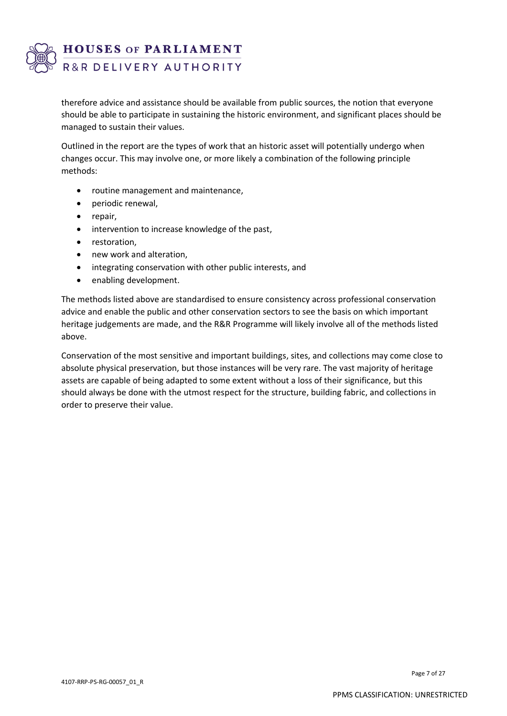

therefore advice and assistance should be available from public sources, the notion that everyone should be able to participate in sustaining the historic environment, and significant places should be managed to sustain their values.

Outlined in the report are the types of work that an historic asset will potentially undergo when changes occur. This may involve one, or more likely a combination of the following principle methods:

- routine management and maintenance,
- periodic renewal,
- repair,
- intervention to increase knowledge of the past,
- restoration,
- new work and alteration,
- integrating conservation with other public interests, and
- enabling development.

The methods listed above are standardised to ensure consistency across professional conservation advice and enable the public and other conservation sectors to see the basis on which important heritage judgements are made, and the R&R Programme will likely involve all of the methods listed above.

Conservation of the most sensitive and important buildings, sites, and collections may come close to absolute physical preservation, but those instances will be very rare. The vast majority of heritage assets are capable of being adapted to some extent without a loss of their significance, but this should always be done with the utmost respect for the structure, building fabric, and collections in order to preserve their value.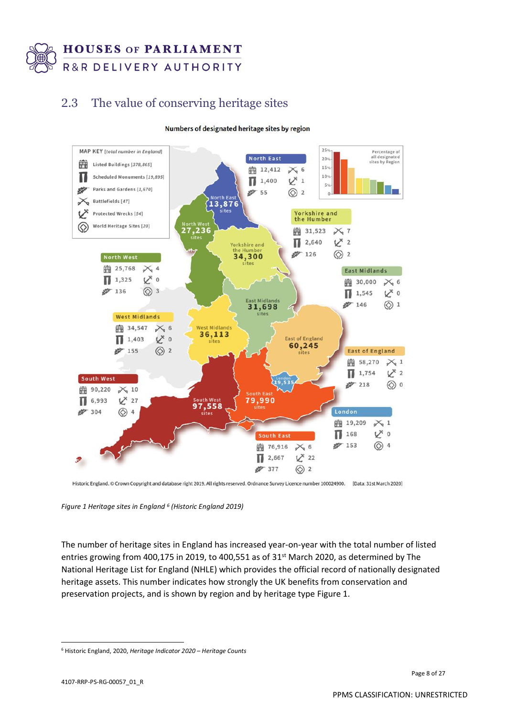

## 2.3 The value of conserving heritage sites





Historic England. © Crown Copyright and database right 2019. All rights reserved. Ordnance Survey Licence number 100024900. [Data: 31st March 2020]

*Figure 1 Heritage sites in England <sup>6</sup> (Historic England 2019)*

The number of heritage sites in England has increased year-on-year with the total number of listed entries growing from 400,175 in 2019, to 400,551 as of 31<sup>st</sup> March 2020, as determined by The National Heritage List for England (NHLE) which provides the official record of nationally designated heritage assets. This number indicates how strongly the UK benefits from conservation and preservation projects, and is shown by region and by heritage type Figure 1.

<sup>6</sup> Historic England, 2020, *Heritage Indicator 2020 – Heritage Counts*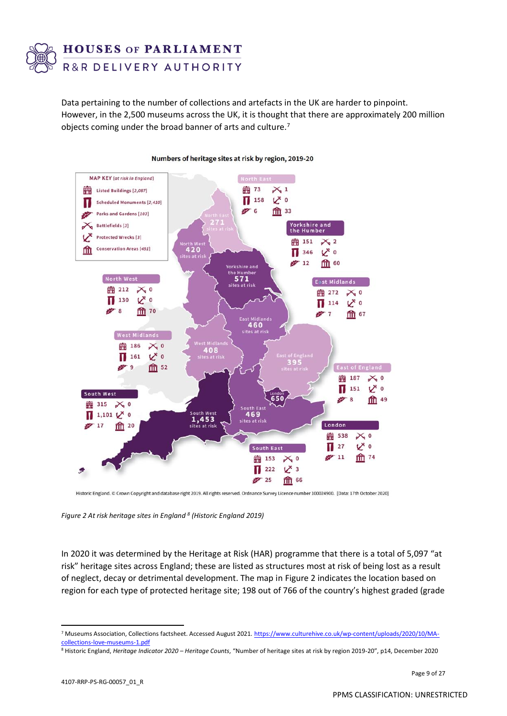

Data pertaining to the number of collections and artefacts in the UK are harder to pinpoint. However, in the 2,500 museums across the UK, it is thought that there are approximately 200 million objects coming under the broad banner of arts and culture.<sup>7</sup>



#### Numbers of heritage sites at risk by region, 2019-20

Historic England. © Crown Copyright and database right 2019. All rights reserved. Ordnance Survey Licence number 100024900. [Data: 17th October 2020]

*Figure 2 At risk heritage sites in England <sup>8</sup> (Historic England 2019)*

In 2020 it was determined by the Heritage at Risk (HAR) programme that there is a total of 5,097 "at risk" heritage sites across England; these are listed as structures most at risk of being lost as a result of neglect, decay or detrimental development. The map in Figure 2 indicates the location based on region for each type of protected heritage site; 198 out of 766 of the country's highest graded (grade

<sup>7</sup> Museums Association, Collections factsheet. Accessed August 2021[. https://www.culturehive.co.uk/wp-content/uploads/2020/10/MA](https://www.culturehive.co.uk/wp-content/uploads/2020/10/MA-collections-love-museums-1.pdf)[collections-love-museums-1.pdf](https://www.culturehive.co.uk/wp-content/uploads/2020/10/MA-collections-love-museums-1.pdf)

<sup>8</sup> Historic England, *Heritage Indicator 2020 – Heritage Counts*, "Number of heritage sites at risk by region 2019-20", p14, December 2020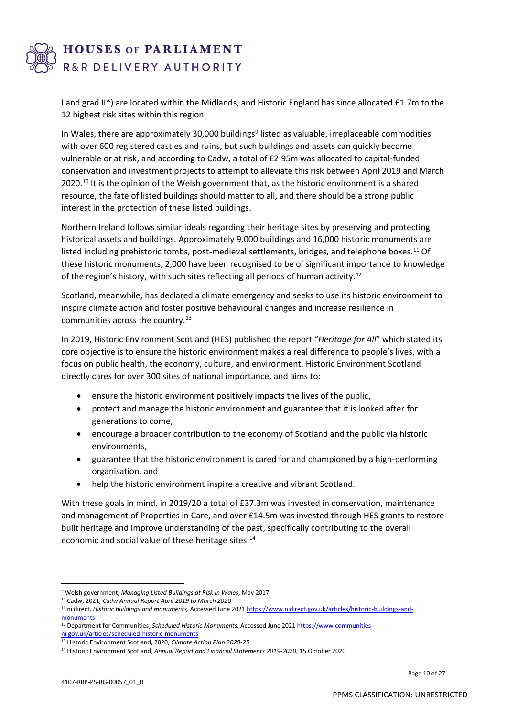

I and grad II\*) are located within the Midlands, and Historic England has since allocated £1.7m to the 12 highest risk sites within this region.

In Wales, there are approximately 30,000 buildings<sup>9</sup> listed as valuable, irreplaceable commodities with over 600 registered castles and ruins, but such buildings and assets can quickly become vulnerable or at risk, and according to Cadw, a total of £2.95m was allocated to capital-funded conservation and investment projects to attempt to alleviate this risk between April 2019 and March 2020.<sup>10</sup> It is the opinion of the Welsh government that, as the historic environment is a shared resource, the fate of listed buildings should matter to all, and there should be a strong public interest in the protection of these listed buildings.

Northern Ireland follows similar ideals regarding their heritage sites by preserving and protecting historical assets and buildings. Approximately 9,000 buildings and 16,000 historic monuments are listed including prehistoric tombs, post-medieval settlements, bridges, and telephone boxes.<sup>11</sup> Of these historic monuments, 2,000 have been recognised to be of significant importance to knowledge of the region's history, with such sites reflecting all periods of human activity.<sup>12</sup>

Scotland, meanwhile, has declared a climate emergency and seeks to use its historic environment to inspire climate action and foster positive behavioural changes and increase resilience in communities across the country.<sup>13</sup>

In 2019, Historic Environment Scotland (HES) published the report "*Heritage for All*" which stated its core objective is to ensure the historic environment makes a real difference to people's lives, with a focus on public health, the economy, culture, and environment. Historic Environment Scotland directly cares for over 300 sites of national importance, and aims to:

- ensure the historic environment positively impacts the lives of the public,
- protect and manage the historic environment and guarantee that it is looked after for generations to come,
- encourage a broader contribution to the economy of Scotland and the public via historic environments,
- guarantee that the historic environment is cared for and championed by a high-performing organisation, and
- help the historic environment inspire a creative and vibrant Scotland.

With these goals in mind, in 2019/20 a total of £37.3m was invested in conservation, maintenance and management of Properties in Care, and over £14.5m was invested through HES grants to restore built heritage and improve understanding of the past, specifically contributing to the overall economic and social value of these heritage sites. 14

<sup>9</sup> Welsh government, *Managing Listed Buildings at Risk in Wales*, May 2017

<sup>10</sup> Cadw, 2021, *Cadw Annual Report April 2019 to March 2020*

<sup>11</sup> ni direct, *Historic buildings and monuments,* Accessed June 202[1 https://www.nidirect.gov.uk/articles/historic-buildings-and](https://www.nidirect.gov.uk/articles/historic-buildings-and-monuments)[monuments](https://www.nidirect.gov.uk/articles/historic-buildings-and-monuments)

<sup>12</sup> Department for Communities, *Scheduled Historic Monuments,* Accessed June 202[1 https://www.communities](https://www.communities-ni.gov.uk/articles/scheduled-historic-monuments)[ni.gov.uk/articles/scheduled-historic-monuments](https://www.communities-ni.gov.uk/articles/scheduled-historic-monuments)

<sup>13</sup> Historic Environment Scotland, 2020, *Climate Action Plan 2020-25*

<sup>14</sup> Historic Environment Scotland, *Annual Report and Financial Statements 2019-2020,* 15 October 2020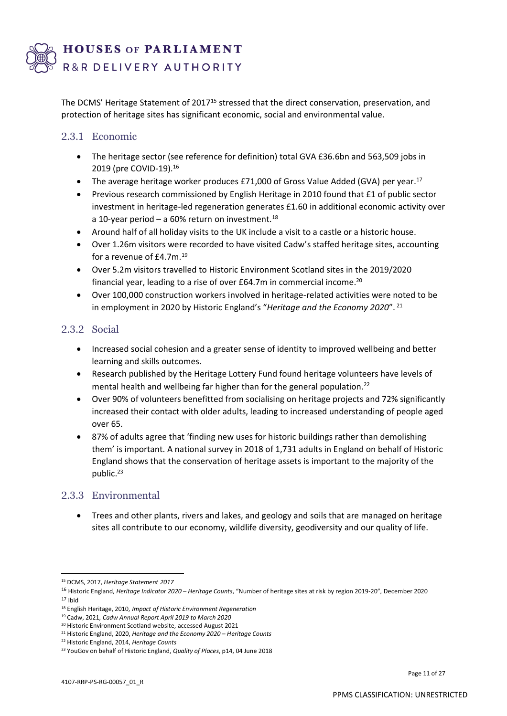

The DCMS' Heritage Statement of 2017<sup>15</sup> stressed that the direct conservation, preservation, and protection of heritage sites has significant economic, social and environmental value.

#### 2.3.1 Economic

- The heritage sector (see reference for definition) total GVA £36.6bn and 563,509 jobs in 2019 (pre COVID-19).<sup>16</sup>
- The average heritage worker produces £71,000 of Gross Value Added (GVA) per year.<sup>17</sup>
- Previous research commissioned by English Heritage in 2010 found that £1 of public sector investment in heritage-led regeneration generates £1.60 in additional economic activity over a 10-year period – a 60% return on investment.<sup>18</sup>
- Around half of all holiday visits to the UK include a visit to a castle or a historic house.
- Over 1.26m visitors were recorded to have visited Cadw's staffed heritage sites, accounting for a revenue of £4.7m. 19
- Over 5.2m visitors travelled to Historic Environment Scotland sites in the 2019/2020 financial year, leading to a rise of over £64.7m in commercial income. 20
- Over 100,000 construction workers involved in heritage-related activities were noted to be in employment in 2020 by Historic England's "*Heritage and the Economy 2020*". 21

#### 2.3.2 Social

- Increased social cohesion and a greater sense of identity to improved wellbeing and better learning and skills outcomes.
- Research published by the Heritage Lottery Fund found heritage volunteers have levels of mental health and wellbeing far higher than for the general population.<sup>22</sup>
- Over 90% of volunteers benefitted from socialising on heritage projects and 72% significantly increased their contact with older adults, leading to increased understanding of people aged over 65.
- 87% of adults agree that 'finding new uses for historic buildings rather than demolishing them' is important. A national survey in 2018 of 1,731 adults in England on behalf of Historic England shows that the conservation of heritage assets is important to the majority of the public. 23

#### 2.3.3 Environmental

• Trees and other plants, rivers and lakes, and geology and soils that are managed on heritage sites all contribute to our economy, wildlife diversity, geodiversity and our quality of life.

<sup>15</sup> DCMS, 2017, *Heritage Statement 2017*

<sup>16</sup> Historic England, *Heritage Indicator 2020 – Heritage Counts*, "Number of heritage sites at risk by region 2019-20", December 2020

 $17$  Ibid

<sup>18</sup> English Heritage, 2010, *Impact of Historic Environment Regeneration*

<sup>19</sup> Cadw, 2021, *Cadw Annual Report April 2019 to March 2020*

<sup>20</sup> Historic Environment Scotland website, accessed August 2021

<sup>21</sup> Historic England, 2020, *Heritage and the Economy 2020 – Heritage Counts*

<sup>22</sup> Historic England, 2014, *Heritage Counts*

<sup>23</sup> YouGov on behalf of Historic England, *Quality of Places*, p14, 04 June 2018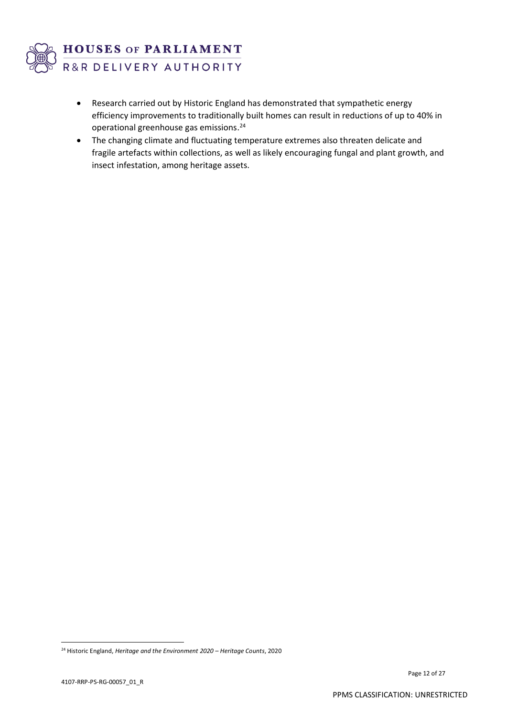

- Research carried out by Historic England has demonstrated that sympathetic energy efficiency improvements to traditionally built homes can result in reductions of up to 40% in operational greenhouse gas emissions. 24
- The changing climate and fluctuating temperature extremes also threaten delicate and fragile artefacts within collections, as well as likely encouraging fungal and plant growth, and insect infestation, among heritage assets.

<sup>24</sup> Historic England, *Heritage and the Environment 2020 – Heritage Counts*, 2020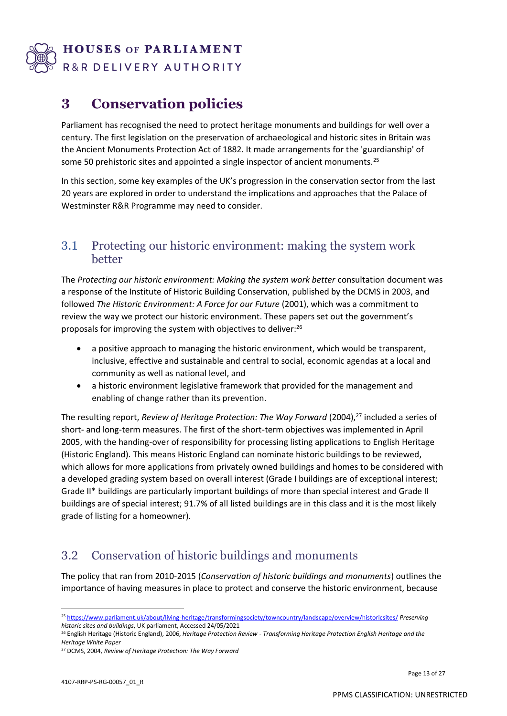

# **3 Conservation policies**

Parliament has recognised the need to protect heritage monuments and buildings for well over a century. The first legislation on the preservation of archaeological and historic sites in Britain was the Ancient Monuments Protection Act of 1882. It made arrangements for the 'guardianship' of some 50 prehistoric sites and appointed a single inspector of ancient monuments.<sup>25</sup>

In this section, some key examples of the UK's progression in the conservation sector from the last 20 years are explored in order to understand the implications and approaches that the Palace of Westminster R&R Programme may need to consider.

## 3.1 Protecting our historic environment: making the system work better

The *Protecting our historic environment: Making the system work better* consultation document was a response of the Institute of Historic Building Conservation, published by the DCMS in 2003, and followed *The Historic Environment: A Force for our Future* (2001), which was a commitment to review the way we protect our historic environment. These papers set out the government's proposals for improving the system with objectives to deliver:<sup>26</sup>

- a positive approach to managing the historic environment, which would be transparent, inclusive, effective and sustainable and central to social, economic agendas at a local and community as well as national level, and
- a historic environment legislative framework that provided for the management and enabling of change rather than its prevention.

The resulting report, *Review of Heritage Protection: The Way Forward* (2004), <sup>27</sup> included a series of short- and long-term measures. The first of the short-term objectives was implemented in April 2005, with the handing-over of responsibility for processing listing applications to English Heritage (Historic England). This means Historic England can nominate historic buildings to be reviewed, which allows for more applications from privately owned buildings and homes to be considered with a developed grading system based on overall interest (Grade I buildings are of exceptional interest; Grade II\* buildings are particularly important buildings of more than special interest and Grade II buildings are of special interest; 91.7% of all listed buildings are in this class and it is the most likely grade of listing for a homeowner).

## 3.2 Conservation of historic buildings and monuments

The policy that ran from 2010-2015 (*Conservation of historic buildings and monuments*) outlines the importance of having measures in place to protect and conserve the historic environment, because

<sup>25</sup> <https://www.parliament.uk/about/living-heritage/transformingsociety/towncountry/landscape/overview/historicsites/> *Preserving historic sites and buildings*, UK parliament, Accessed 24/05/2021

<sup>26</sup> English Heritage (Historic England), 2006, *Heritage Protection Review - Transforming Heritage Protection English Heritage and the Heritage White Paper*

<sup>27</sup> DCMS, 2004, *Review of Heritage Protection: The Way Forward*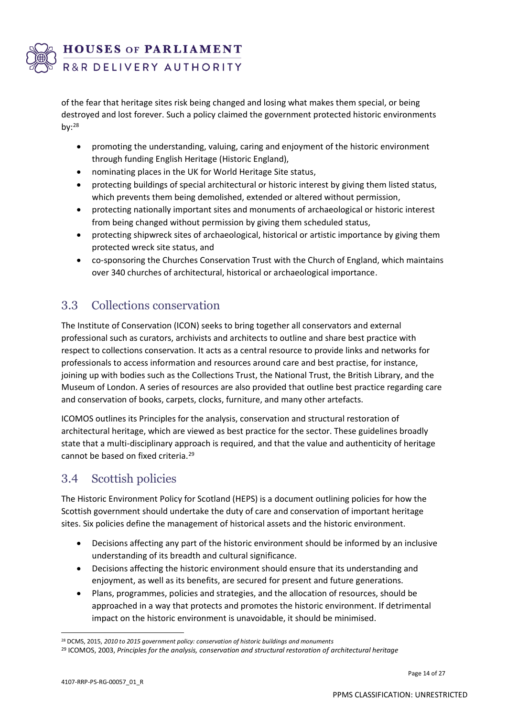

of the fear that heritage sites risk being changed and losing what makes them special, or being destroyed and lost forever. Such a policy claimed the government protected historic environments by: $28$ 

- promoting the understanding, valuing, caring and enjoyment of the historic environment through funding [English Heritage](http://www.english-heritage.org.uk/) (Historic England),
- nominating places in the UK for World Heritage Site status,
- protecting buildings of special architectural or historic interest by giving them listed status, which prevents them being demolished, extended or altered without permission,
- [protecting nationally important sites and monuments of archaeological or historic interest](https://www.gov.uk/government/policies/protecting-conserving-and-providing-access-to-the-historic-environment-in-england/supporting-pages/protecting-ancient-monuments-through-the-scheduling-system)  [from being changed without permission](https://www.gov.uk/government/policies/protecting-conserving-and-providing-access-to-the-historic-environment-in-england/supporting-pages/protecting-ancient-monuments-through-the-scheduling-system) by giving them scheduled status,
- protecting shipwreck sites of archaeological, historical or artistic importance by giving them protected wreck site status, and
- co-sponsoring the [Churches Conservation Trust](http://www.visitchurches.org.uk/) with the Church of England, which maintains over 340 churches of architectural, historical or archaeological importance.

## 3.3 Collections conservation

The Institute of Conservation (ICON) seeks to bring together all conservators and external professional such as curators, archivists and architects to outline and share best practice with respect to collections conservation. It acts as a central resource to provide links and networks for professionals to access information and resources around care and best practise, for instance, joining up with bodies such as the Collections Trust, the National Trust, the British Library, and the Museum of London. A series of resources are also provided that outline best practice regarding care and conservation of books, carpets, clocks, furniture, and many other artefacts.

ICOMOS outlines its Principles for the analysis, conservation and structural restoration of architectural heritage, which are viewed as best practice for the sector. These guidelines broadly state that a multi-disciplinary approach is required, and that the value and authenticity of heritage cannot be based on fixed criteria.<sup>29</sup>

## 3.4 Scottish policies

The Historic Environment Policy for Scotland (HEPS) is a document outlining policies for how the Scottish government should undertake the duty of care and conservation of important heritage sites. Six policies define the management of historical assets and the historic environment.

- Decisions affecting any part of the historic environment should be informed by an inclusive understanding of its breadth and cultural significance.
- Decisions affecting the historic environment should ensure that its understanding and enjoyment, as well as its benefits, are secured for present and future generations.
- Plans, programmes, policies and strategies, and the allocation of resources, should be approached in a way that protects and promotes the historic environment. If detrimental impact on the historic environment is unavoidable, it should be minimised.

<sup>28</sup> DCMS, 2015, *2010 to 2015 government policy: conservation of historic buildings and monuments*

<sup>29</sup> ICOMOS, 2003, *Principles for the analysis, conservation and structural restoration of architectural heritage*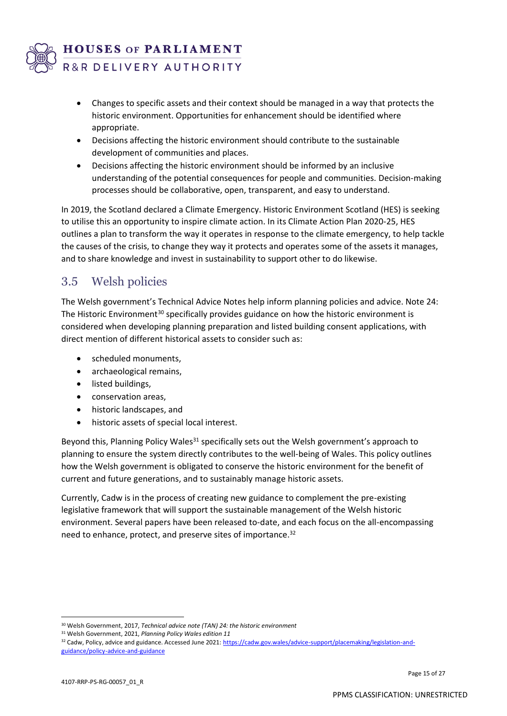

- Changes to specific assets and their context should be managed in a way that protects the historic environment. Opportunities for enhancement should be identified where appropriate.
- Decisions affecting the historic environment should contribute to the sustainable development of communities and places.
- Decisions affecting the historic environment should be informed by an inclusive understanding of the potential consequences for people and communities. Decision-making processes should be collaborative, open, transparent, and easy to understand.

In 2019, the Scotland declared a Climate Emergency. Historic Environment Scotland (HES) is seeking to utilise this an opportunity to inspire climate action. In its Climate Action Plan 2020-25, HES outlines a plan to transform the way it operates in response to the climate emergency, to help tackle the causes of the crisis, to change they way it protects and operates some of the assets it manages, and to share knowledge and invest in sustainability to support other to do likewise.

## 3.5 Welsh policies

The Welsh government's Technical Advice Notes help inform planning policies and advice. Note 24: The Historic Environment<sup>30</sup> specifically provides guidance on how the historic environment is considered when developing planning preparation and listed building consent applications, with direct mention of different historical assets to consider such as:

- scheduled monuments,
- archaeological remains,
- listed buildings,
- conservation areas,
- historic landscapes, and
- historic assets of special local interest.

Beyond this, Planning Policy Wales $31$  specifically sets out the Welsh government's approach to planning to ensure the system directly contributes to the well-being of Wales. This policy outlines how the Welsh government is obligated to conserve the historic environment for the benefit of current and future generations, and to sustainably manage historic assets.

Currently, Cadw is in the process of creating new guidance to complement the pre-existing legislative framework that will support the sustainable management of the Welsh historic environment. Several papers have been released to-date, and each focus on the all-encompassing need to enhance, protect, and preserve sites of importance.<sup>32</sup>

<sup>30</sup> Welsh Government, 2017, *Technical advice note (TAN) 24: the historic environment*

<sup>31</sup> Welsh Government, 2021, *Planning Policy Wales edition 11*

<sup>32</sup> Cadw, Policy, advice and guidance. Accessed June 2021: [https://cadw.gov.wales/advice-support/placemaking/legislation-and](https://cadw.gov.wales/advice-support/placemaking/legislation-and-guidance/policy-advice-and-guidance)[guidance/policy-advice-and-guidance](https://cadw.gov.wales/advice-support/placemaking/legislation-and-guidance/policy-advice-and-guidance)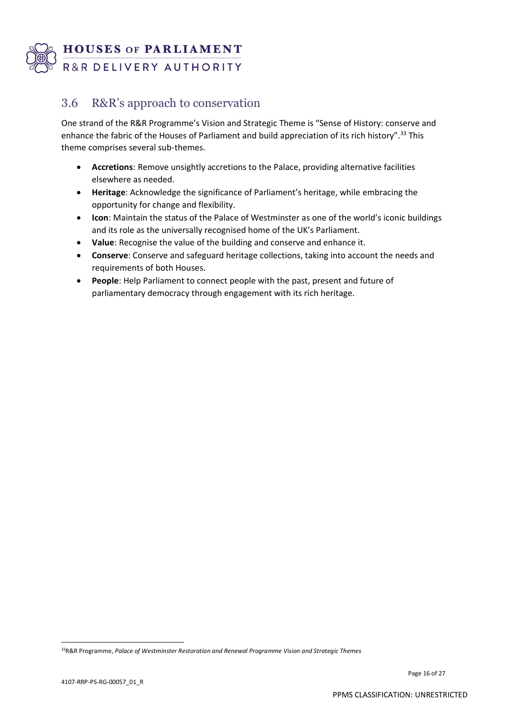

## 3.6 R&R's approach to conservation

One strand of the R&R Programme's Vision and Strategic Theme is "Sense of History: conserve and enhance the fabric of the Houses of Parliament and build appreciation of its rich history".<sup>33</sup> This theme comprises several sub-themes.

- **Accretions**: Remove unsightly accretions to the Palace, providing alternative facilities elsewhere as needed.
- **Heritage**: Acknowledge the significance of Parliament's heritage, while embracing the opportunity for change and flexibility.
- **Icon**: Maintain the status of the Palace of Westminster as one of the world's iconic buildings and its role as the universally recognised home of the UK's Parliament.
- **Value**: Recognise the value of the building and conserve and enhance it.
- **Conserve**: Conserve and safeguard heritage collections, taking into account the needs and requirements of both Houses.
- **People**: Help Parliament to connect people with the past, present and future of parliamentary democracy through engagement with its rich heritage.

<sup>33</sup>R&R Programme, *Palace of Westminster Restoration and Renewal Programme Vision and Strategic Themes*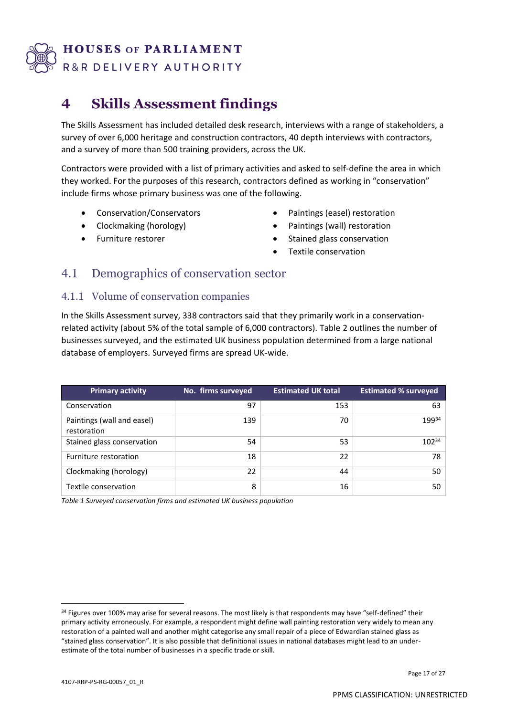

# **4 Skills Assessment findings**

The Skills Assessment has included detailed desk research, interviews with a range of stakeholders, a survey of over 6,000 heritage and construction contractors, 40 depth interviews with contractors, and a survey of more than 500 training providers, across the UK.

Contractors were provided with a list of primary activities and asked to self-define the area in which they worked. For the purposes of this research, contractors defined as working in "conservation" include firms whose primary business was one of the following.

- Conservation/Conservators
- Clockmaking (horology)
- Furniture restorer
- Paintings (easel) restoration
- Paintings (wall) restoration
- Stained glass conservation
- Textile conservation

## 4.1 Demographics of conservation sector

#### 4.1.1 Volume of conservation companies

In the Skills Assessment survey, 338 contractors said that they primarily work in a conservationrelated activity (about 5% of the total sample of 6,000 contractors). Table 2 outlines the number of businesses surveyed, and the estimated UK business population determined from a large national database of employers. Surveyed firms are spread UK-wide.

| <b>Primary activity</b>                   | No. firms surveyed | <b>Estimated UK total</b> | <b>Estimated % surveyed</b> |
|-------------------------------------------|--------------------|---------------------------|-----------------------------|
| Conservation                              | 97                 | 153                       | 63                          |
| Paintings (wall and easel)<br>restoration | 139                | 70                        | 19934                       |
| Stained glass conservation                | 54                 | 53                        | 10234                       |
| Furniture restoration                     | 18                 | 22                        | 78                          |
| Clockmaking (horology)                    | 22                 | 44                        | 50                          |
| Textile conservation                      | 8                  | 16                        | 50                          |

*Table 1 Surveyed conservation firms and estimated UK business population*

<sup>34</sup> Figures over 100% may arise for several reasons. The most likely is that respondents may have "self-defined" their primary activity erroneously. For example, a respondent might define wall painting restoration very widely to mean any restoration of a painted wall and another might categorise any small repair of a piece of Edwardian stained glass as "stained glass conservation". It is also possible that definitional issues in national databases might lead to an underestimate of the total number of businesses in a specific trade or skill.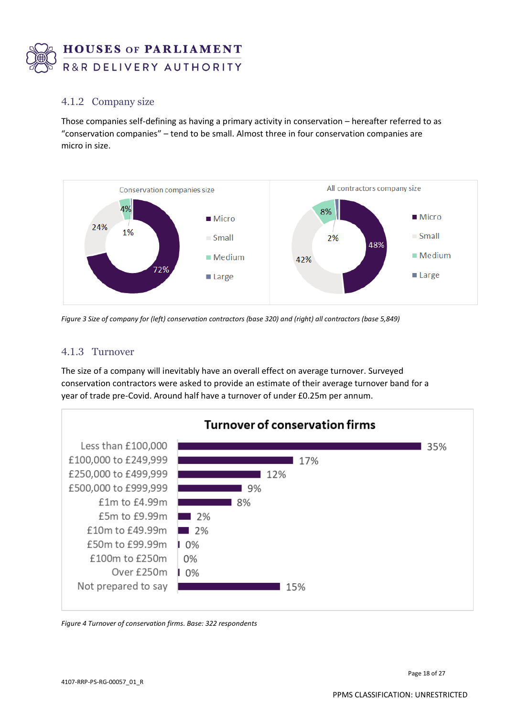

### 4.1.2 Company size

Those companies self-defining as having a primary activity in conservation – hereafter referred to as "conservation companies" – tend to be small. Almost three in four conservation companies are micro in size.



*Figure 3 Size of company for (left) conservation contractors (base 320) and (right) all contractors (base 5,849)*

#### 4.1.3 Turnover

The size of a company will inevitably have an overall effect on average turnover. Surveyed conservation contractors were asked to provide an estimate of their average turnover band for a year of trade pre-Covid. Around half have a turnover of under £0.25m per annum.



*Figure 4 Turnover of conservation firms. Base: 322 respondents*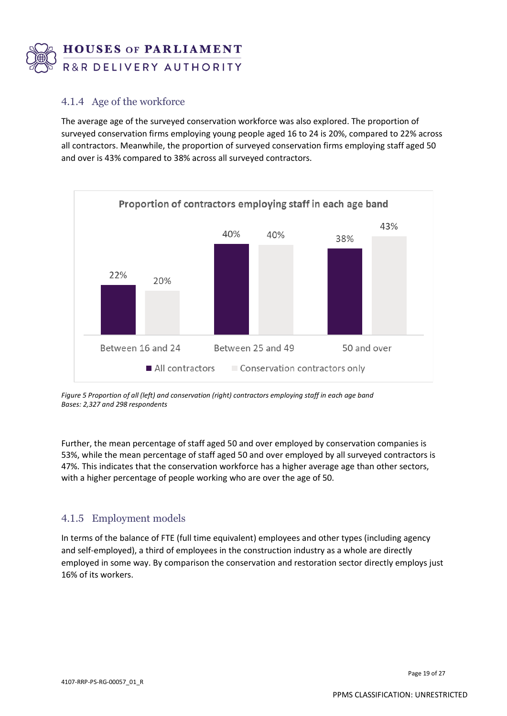

#### 4.1.4 Age of the workforce

The average age of the surveyed conservation workforce was also explored. The proportion of surveyed conservation firms employing young people aged 16 to 24 is 20%, compared to 22% across all contractors. Meanwhile, the proportion of surveyed conservation firms employing staff aged 50 and over is 43% compared to 38% across all surveyed contractors.



*Figure 5 Proportion of all (left) and conservation (right) contractors employing staff in each age band Bases: 2,327 and 298 respondents*

Further, the mean percentage of staff aged 50 and over employed by conservation companies is 53%, while the mean percentage of staff aged 50 and over employed by all surveyed contractors is 47%. This indicates that the conservation workforce has a higher average age than other sectors, with a higher percentage of people working who are over the age of 50.

#### 4.1.5 Employment models

In terms of the balance of FTE (full time equivalent) employees and other types (including agency and self-employed), a third of employees in the construction industry as a whole are directly employed in some way. By comparison the conservation and restoration sector directly employs just 16% of its workers.

Page 19 of 27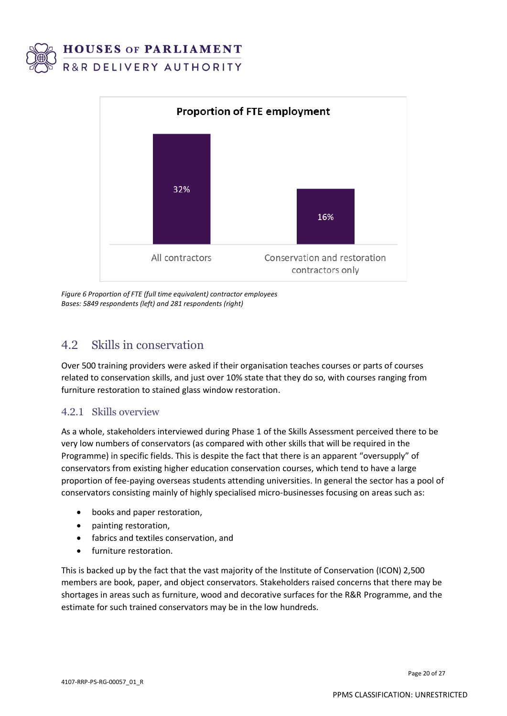



*Figure 6 Proportion of FTE (full time equivalent) contractor employees Bases: 5849 respondents (left) and 281 respondents (right)*

## 4.2 Skills in conservation

Over 500 training providers were asked if their organisation teaches courses or parts of courses related to conservation skills, and just over 10% state that they do so, with courses ranging from furniture restoration to stained glass window restoration.

### 4.2.1 Skills overview

As a whole, stakeholders interviewed during Phase 1 of the Skills Assessment perceived there to be very low numbers of conservators (as compared with other skills that will be required in the Programme) in specific fields. This is despite the fact that there is an apparent "oversupply" of conservators from existing higher education conservation courses, which tend to have a large proportion of fee-paying overseas students attending universities. In general the sector has a pool of conservators consisting mainly of highly specialised micro-businesses focusing on areas such as:

- books and paper restoration,
- painting restoration,
- fabrics and textiles conservation, and
- furniture restoration.

This is backed up by the fact that the vast majority of the Institute of Conservation (ICON) 2,500 members are book, paper, and object conservators. Stakeholders raised concerns that there may be shortages in areas such as furniture, wood and decorative surfaces for the R&R Programme, and the estimate for such trained conservators may be in the low hundreds.

Page 20 of 27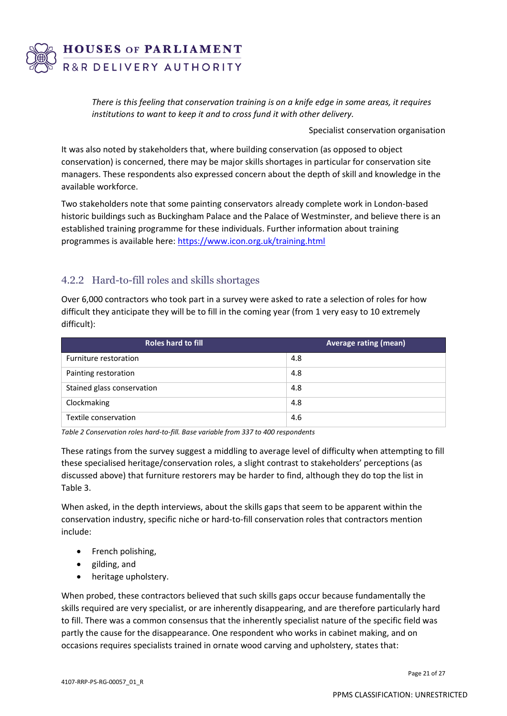

*There is this feeling that conservation training is on a knife edge in some areas, it requires institutions to want to keep it and to cross fund it with other delivery.*

Specialist conservation organisation

It was also noted by stakeholders that, where building conservation (as opposed to object conservation) is concerned, there may be major skills shortages in particular for conservation site managers. These respondents also expressed concern about the depth of skill and knowledge in the available workforce.

Two stakeholders note that some painting conservators already complete work in London-based historic buildings such as Buckingham Palace and the Palace of Westminster, and believe there is an established training programme for these individuals. Further information about training programmes is available here:<https://www.icon.org.uk/training.html>

#### 4.2.2 Hard-to-fill roles and skills shortages

Over 6,000 contractors who took part in a survey were asked to rate a selection of roles for how difficult they anticipate they will be to fill in the coming year (from 1 very easy to 10 extremely difficult):

| <b>Roles hard to fill</b>  | Average rating (mean) |
|----------------------------|-----------------------|
| Furniture restoration      | 4.8                   |
| Painting restoration       | 4.8                   |
| Stained glass conservation | 4.8                   |
| Clockmaking                | 4.8                   |
| Textile conservation       | 4.6                   |

*Table 2 Conservation roles hard-to-fill. Base variable from 337 to 400 respondents*

These ratings from the survey suggest a middling to average level of difficulty when attempting to fill these specialised heritage/conservation roles, a slight contrast to stakeholders' perceptions (as discussed above) that furniture restorers may be harder to find, although they do top the list in Table 3.

When asked, in the depth interviews, about the skills gaps that seem to be apparent within the conservation industry, specific niche or hard-to-fill conservation roles that contractors mention include:

- French polishing,
- gilding, and
- heritage upholstery.

When probed, these contractors believed that such skills gaps occur because fundamentally the skills required are very specialist, or are inherently disappearing, and are therefore particularly hard to fill. There was a common consensus that the inherently specialist nature of the specific field was partly the cause for the disappearance. One respondent who works in cabinet making, and on occasions requires specialists trained in ornate wood carving and upholstery, states that: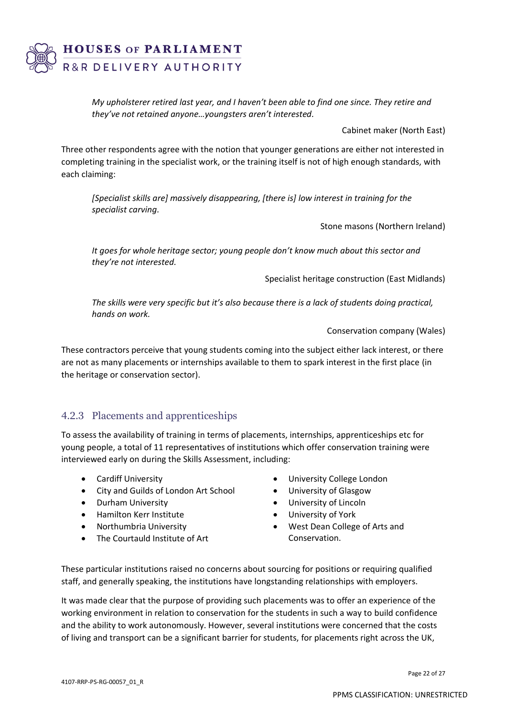

*My upholsterer retired last year, and I haven't been able to find one since. They retire and they've not retained anyone…youngsters aren't interested.*

Cabinet maker (North East)

Three other respondents agree with the notion that younger generations are either not interested in completing training in the specialist work, or the training itself is not of high enough standards, with each claiming:

*[Specialist skills are] massively disappearing, [there is] low interest in training for the specialist carving.*

Stone masons (Northern Ireland)

*It goes for whole heritage sector; young people don't know much about this sector and they're not interested.*

Specialist heritage construction (East Midlands)

*The skills were very specific but it's also because there is a lack of students doing practical, hands on work.*

Conservation company (Wales)

These contractors perceive that young students coming into the subject either lack interest, or there are not as many placements or internships available to them to spark interest in the first place (in the heritage or conservation sector).

#### 4.2.3 Placements and apprenticeships

To assess the availability of training in terms of placements, internships, apprenticeships etc for young people, a total of 11 representatives of institutions which offer conservation training were interviewed early on during the Skills Assessment, including:

- Cardiff University
- City and Guilds of London Art School
- Durham University
- Hamilton Kerr Institute
- Northumbria University
- The Courtauld Institute of Art
- University College London
- University of Glasgow
- University of Lincoln
- University of York
- West Dean College of Arts and Conservation.

These particular institutions raised no concerns about sourcing for positions or requiring qualified staff, and generally speaking, the institutions have longstanding relationships with employers.

It was made clear that the purpose of providing such placements was to offer an experience of the working environment in relation to conservation for the students in such a way to build confidence and the ability to work autonomously. However, several institutions were concerned that the costs of living and transport can be a significant barrier for students, for placements right across the UK,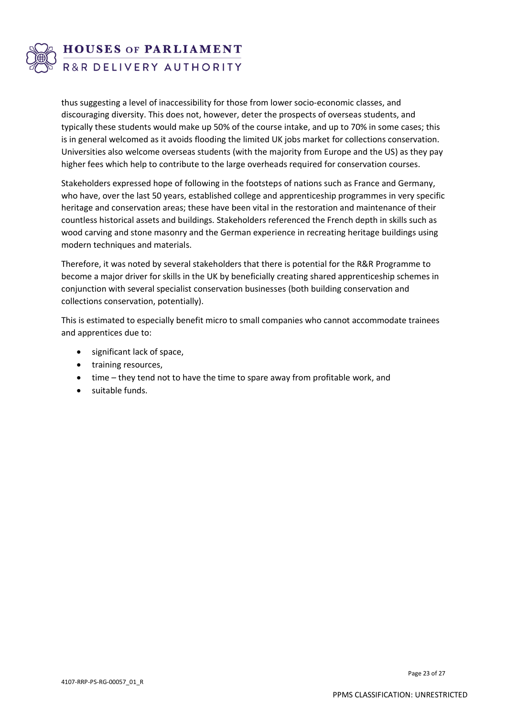

thus suggesting a level of inaccessibility for those from lower socio-economic classes, and discouraging diversity. This does not, however, deter the prospects of overseas students, and typically these students would make up 50% of the course intake, and up to 70% in some cases; this is in general welcomed as it avoids flooding the limited UK jobs market for collections conservation. Universities also welcome overseas students (with the majority from Europe and the US) as they pay higher fees which help to contribute to the large overheads required for conservation courses.

Stakeholders expressed hope of following in the footsteps of nations such as France and Germany, who have, over the last 50 years, established college and apprenticeship programmes in very specific heritage and conservation areas; these have been vital in the restoration and maintenance of their countless historical assets and buildings. Stakeholders referenced the French depth in skills such as wood carving and stone masonry and the German experience in recreating heritage buildings using modern techniques and materials.

Therefore, it was noted by several stakeholders that there is potential for the R&R Programme to become a major driver for skills in the UK by beneficially creating shared apprenticeship schemes in conjunction with several specialist conservation businesses (both building conservation and collections conservation, potentially).

This is estimated to especially benefit micro to small companies who cannot accommodate trainees and apprentices due to:

- significant lack of space,
- training resources,
- time they tend not to have the time to spare away from profitable work, and
- suitable funds.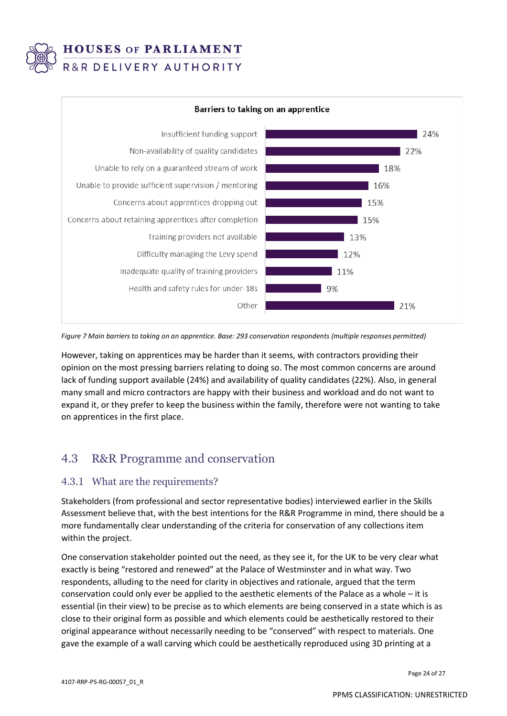



*Figure 7 Main barriers to taking on an apprentice. Base: 293 conservation respondents (multiple responses permitted)*

However, taking on apprentices may be harder than it seems, with contractors providing their opinion on the most pressing barriers relating to doing so. The most common concerns are around lack of funding support available (24%) and availability of quality candidates (22%). Also, in general many small and micro contractors are happy with their business and workload and do not want to expand it, or they prefer to keep the business within the family, therefore were not wanting to take on apprentices in the first place.

## 4.3 R&R Programme and conservation

#### 4.3.1 What are the requirements?

Stakeholders (from professional and sector representative bodies) interviewed earlier in the Skills Assessment believe that, with the best intentions for the R&R Programme in mind, there should be a more fundamentally clear understanding of the criteria for conservation of any collections item within the project.

One conservation stakeholder pointed out the need, as they see it, for the UK to be very clear what exactly is being "restored and renewed" at the Palace of Westminster and in what way. Two respondents, alluding to the need for clarity in objectives and rationale, argued that the term conservation could only ever be applied to the aesthetic elements of the Palace as a whole – it is essential (in their view) to be precise as to which elements are being conserved in a state which is as close to their original form as possible and which elements could be aesthetically restored to their original appearance without necessarily needing to be "conserved" with respect to materials. One gave the example of a wall carving which could be aesthetically reproduced using 3D printing at a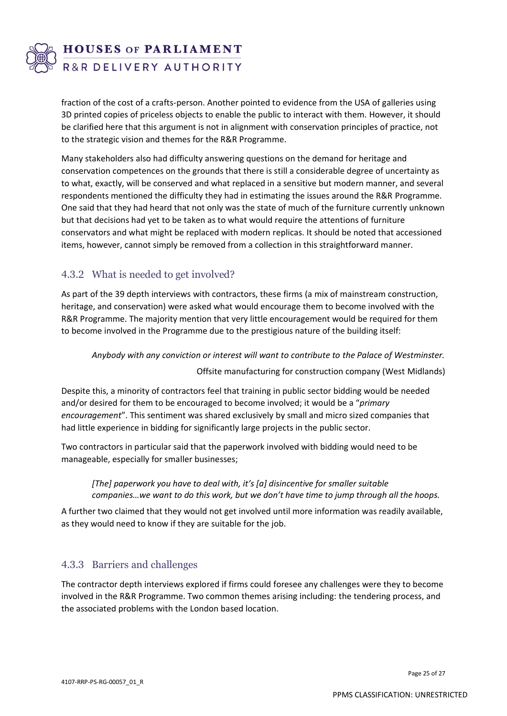

fraction of the cost of a crafts-person. Another pointed to evidence from the USA of galleries using 3D printed copies of priceless objects to enable the public to interact with them. However, it should be clarified here that this argument is not in alignment with conservation principles of practice, not to the strategic vision and themes for the R&R Programme.

Many stakeholders also had difficulty answering questions on the demand for heritage and conservation competences on the grounds that there is still a considerable degree of uncertainty as to what, exactly, will be conserved and what replaced in a sensitive but modern manner, and several respondents mentioned the difficulty they had in estimating the issues around the R&R Programme. One said that they had heard that not only was the state of much of the furniture currently unknown but that decisions had yet to be taken as to what would require the attentions of furniture conservators and what might be replaced with modern replicas. It should be noted that accessioned items, however, cannot simply be removed from a collection in this straightforward manner.

### 4.3.2 What is needed to get involved?

As part of the 39 depth interviews with contractors, these firms (a mix of mainstream construction, heritage, and conservation) were asked what would encourage them to become involved with the R&R Programme. The majority mention that very little encouragement would be required for them to become involved in the Programme due to the prestigious nature of the building itself:

*Anybody with any conviction or interest will want to contribute to the Palace of Westminster.*

Offsite manufacturing for construction company (West Midlands)

Despite this, a minority of contractors feel that training in public sector bidding would be needed and/or desired for them to be encouraged to become involved; it would be a "*primary encouragement*". This sentiment was shared exclusively by small and micro sized companies that had little experience in bidding for significantly large projects in the public sector.

Two contractors in particular said that the paperwork involved with bidding would need to be manageable, especially for smaller businesses;

*[The] paperwork you have to deal with, it's [a] disincentive for smaller suitable companies…we want to do this work, but we don't have time to jump through all the hoops.* 

A further two claimed that they would not get involved until more information was readily available, as they would need to know if they are suitable for the job.

#### 4.3.3 Barriers and challenges

The contractor depth interviews explored if firms could foresee any challenges were they to become involved in the R&R Programme. Two common themes arising including: the tendering process, and the associated problems with the London based location.

Page 25 of 27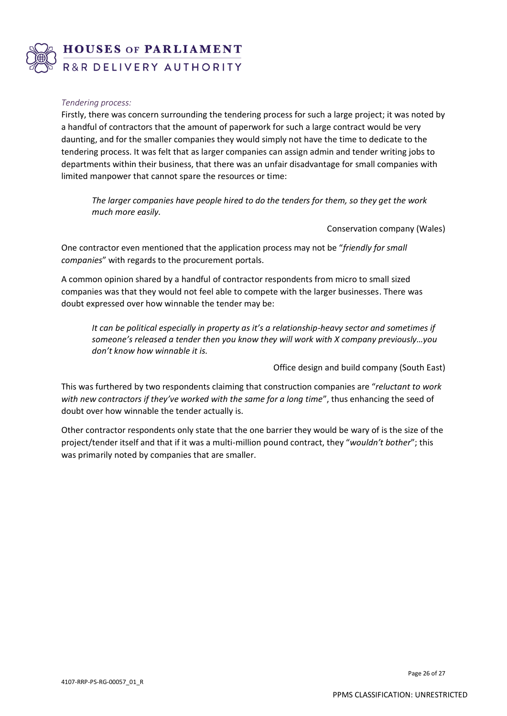

#### *Tendering process:*

Firstly, there was concern surrounding the tendering process for such a large project; it was noted by a handful of contractors that the amount of paperwork for such a large contract would be very daunting, and for the smaller companies they would simply not have the time to dedicate to the tendering process. It was felt that as larger companies can assign admin and tender writing jobs to departments within their business, that there was an unfair disadvantage for small companies with limited manpower that cannot spare the resources or time:

*The larger companies have people hired to do the tenders for them, so they get the work much more easily.*

Conservation company (Wales)

One contractor even mentioned that the application process may not be "*friendly for small companies*" with regards to the procurement portals.

A common opinion shared by a handful of contractor respondents from micro to small sized companies was that they would not feel able to compete with the larger businesses. There was doubt expressed over how winnable the tender may be:

*It can be political especially in property as it's a relationship-heavy sector and sometimes if someone's released a tender then you know they will work with X company previously…you don't know how winnable it is.*

Office design and build company (South East)

This was furthered by two respondents claiming that construction companies are "*reluctant to work with new contractors if they've worked with the same for a long time*", thus enhancing the seed of doubt over how winnable the tender actually is.

Other contractor respondents only state that the one barrier they would be wary of is the size of the project/tender itself and that if it was a multi-million pound contract, they "*wouldn't bother*"; this was primarily noted by companies that are smaller.